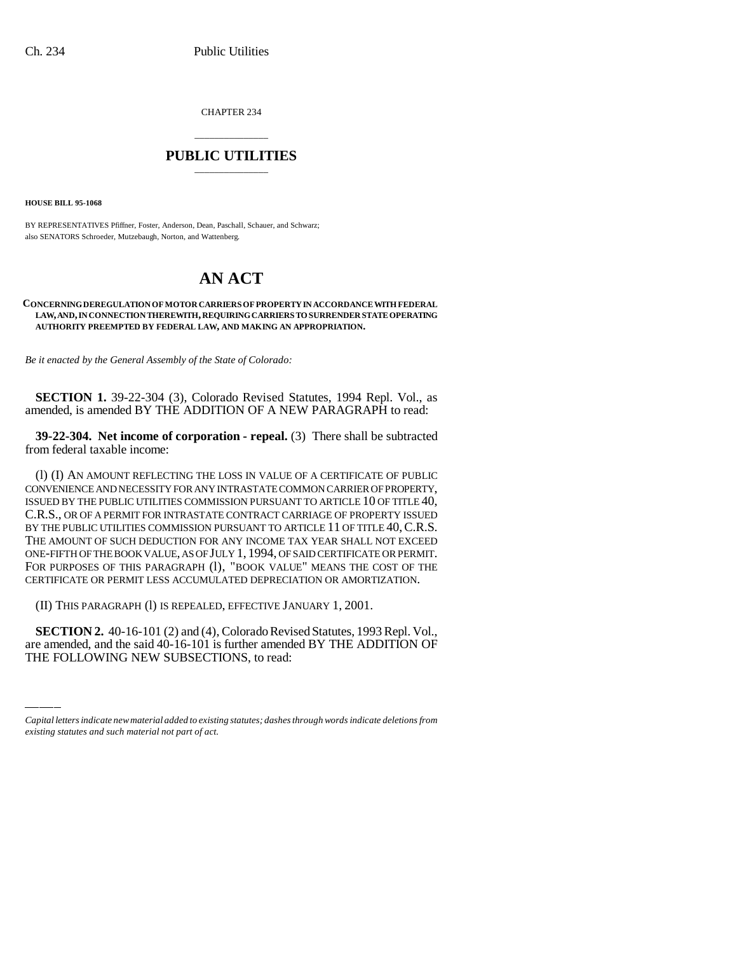CHAPTER 234

## \_\_\_\_\_\_\_\_\_\_\_\_\_\_\_ **PUBLIC UTILITIES** \_\_\_\_\_\_\_\_\_\_\_\_\_\_\_

**HOUSE BILL 95-1068** 

BY REPRESENTATIVES Pfiffner, Foster, Anderson, Dean, Paschall, Schauer, and Schwarz; also SENATORS Schroeder, Mutzebaugh, Norton, and Wattenberg.

# **AN ACT**

### **CONCERNING DEREGULATION OF MOTOR CARRIERS OF PROPERTY IN ACCORDANCE WITH FEDERAL LAW, AND, IN CONNECTION THEREWITH, REQUIRING CARRIERS TO SURRENDER STATE OPERATING AUTHORITY PREEMPTED BY FEDERAL LAW, AND MAKING AN APPROPRIATION.**

*Be it enacted by the General Assembly of the State of Colorado:*

**SECTION 1.** 39-22-304 (3), Colorado Revised Statutes, 1994 Repl. Vol., as amended, is amended BY THE ADDITION OF A NEW PARAGRAPH to read:

**39-22-304. Net income of corporation - repeal.** (3) There shall be subtracted from federal taxable income:

(l) (I) AN AMOUNT REFLECTING THE LOSS IN VALUE OF A CERTIFICATE OF PUBLIC CONVENIENCE AND NECESSITY FOR ANY INTRASTATE COMMON CARRIER OF PROPERTY, ISSUED BY THE PUBLIC UTILITIES COMMISSION PURSUANT TO ARTICLE 10 OF TITLE 40, C.R.S., OR OF A PERMIT FOR INTRASTATE CONTRACT CARRIAGE OF PROPERTY ISSUED BY THE PUBLIC UTILITIES COMMISSION PURSUANT TO ARTICLE 11 OF TITLE 40, C.R.S. THE AMOUNT OF SUCH DEDUCTION FOR ANY INCOME TAX YEAR SHALL NOT EXCEED ONE-FIFTH OF THE BOOK VALUE, AS OF JULY 1, 1994, OF SAID CERTIFICATE OR PERMIT. FOR PURPOSES OF THIS PARAGRAPH (1), "BOOK VALUE" MEANS THE COST OF THE CERTIFICATE OR PERMIT LESS ACCUMULATED DEPRECIATION OR AMORTIZATION.

 $\mathcal{L}(\mathcal{L})$ (II) THIS PARAGRAPH (l) IS REPEALED, EFFECTIVE JANUARY 1, 2001.

**SECTION 2.** 40-16-101 (2) and (4), Colorado Revised Statutes, 1993 Repl. Vol., are amended, and the said 40-16-101 is further amended BY THE ADDITION OF THE FOLLOWING NEW SUBSECTIONS, to read:

*Capital letters indicate new material added to existing statutes; dashes through words indicate deletions from existing statutes and such material not part of act.*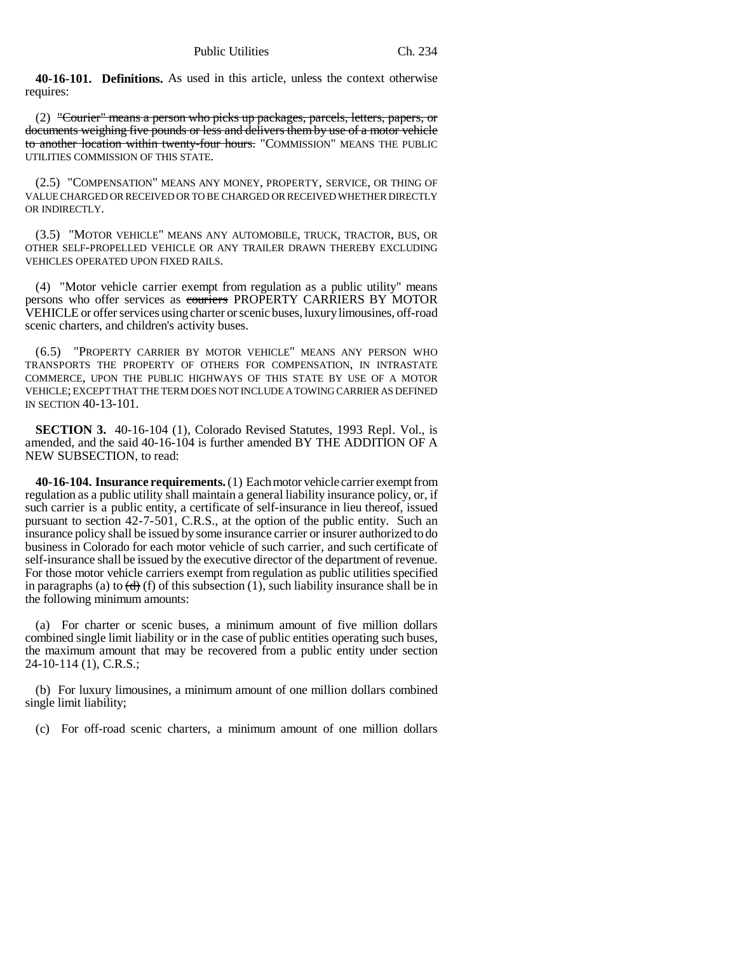**40-16-101. Definitions.** As used in this article, unless the context otherwise requires:

(2) "Courier" means a person who picks up packages, parcels, letters, papers, or documents weighing five pounds or less and delivers them by use of a motor vehicle to another location within twenty-four hours. "COMMISSION" MEANS THE PUBLIC UTILITIES COMMISSION OF THIS STATE.

(2.5) "COMPENSATION" MEANS ANY MONEY, PROPERTY, SERVICE, OR THING OF VALUE CHARGED OR RECEIVED OR TO BE CHARGED OR RECEIVED WHETHER DIRECTLY OR INDIRECTLY.

(3.5) "MOTOR VEHICLE" MEANS ANY AUTOMOBILE, TRUCK, TRACTOR, BUS, OR OTHER SELF-PROPELLED VEHICLE OR ANY TRAILER DRAWN THEREBY EXCLUDING VEHICLES OPERATED UPON FIXED RAILS.

(4) "Motor vehicle carrier exempt from regulation as a public utility" means persons who offer services as couriers PROPERTY CARRIERS BY MOTOR VEHICLE or offer services using charter or scenic buses, luxury limousines, off-road scenic charters, and children's activity buses.

(6.5) "PROPERTY CARRIER BY MOTOR VEHICLE" MEANS ANY PERSON WHO TRANSPORTS THE PROPERTY OF OTHERS FOR COMPENSATION, IN INTRASTATE COMMERCE, UPON THE PUBLIC HIGHWAYS OF THIS STATE BY USE OF A MOTOR VEHICLE; EXCEPT THAT THE TERM DOES NOT INCLUDE A TOWING CARRIER AS DEFINED IN SECTION 40-13-101.

**SECTION 3.** 40-16-104 (1), Colorado Revised Statutes, 1993 Repl. Vol., is amended, and the said 40-16-104 is further amended BY THE ADDITION OF A NEW SUBSECTION, to read:

**40-16-104. Insurance requirements.** (1) Each motor vehicle carrier exempt from regulation as a public utility shall maintain a general liability insurance policy, or, if such carrier is a public entity, a certificate of self-insurance in lieu thereof, issued pursuant to section 42-7-501, C.R.S., at the option of the public entity. Such an insurance policy shall be issued by some insurance carrier or insurer authorized to do business in Colorado for each motor vehicle of such carrier, and such certificate of self-insurance shall be issued by the executive director of the department of revenue. For those motor vehicle carriers exempt from regulation as public utilities specified in paragraphs (a) to  $\left(\frac{d}{d}\right)$  (f) of this subsection (1), such liability insurance shall be in the following minimum amounts:

(a) For charter or scenic buses, a minimum amount of five million dollars combined single limit liability or in the case of public entities operating such buses, the maximum amount that may be recovered from a public entity under section 24-10-114 (1), C.R.S.;

(b) For luxury limousines, a minimum amount of one million dollars combined single limit liability;

(c) For off-road scenic charters, a minimum amount of one million dollars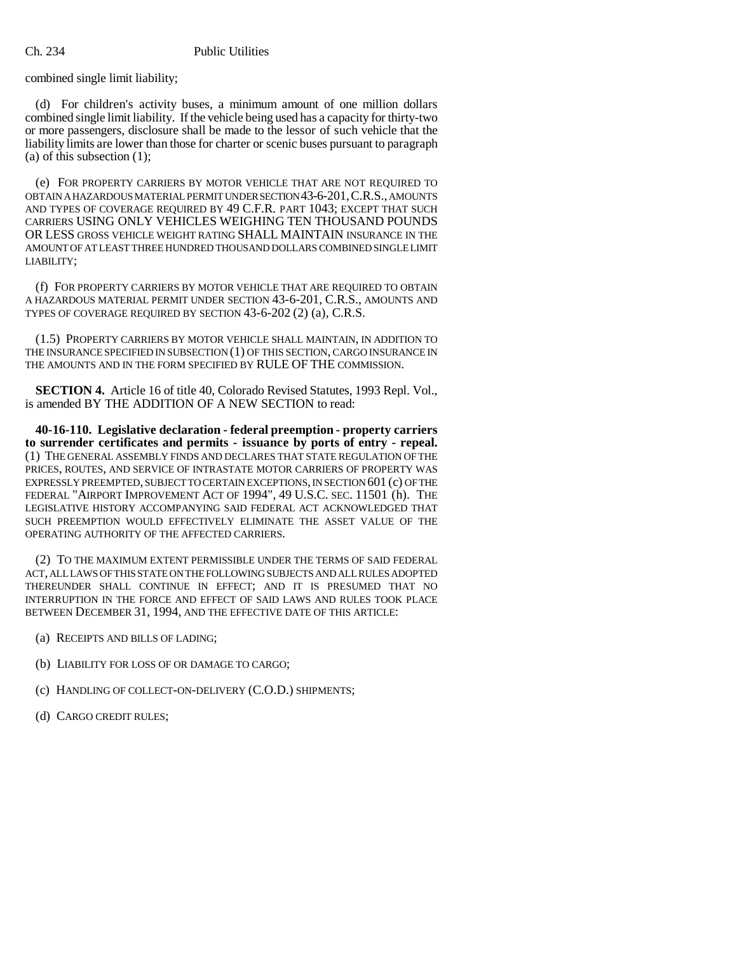combined single limit liability;

(d) For children's activity buses, a minimum amount of one million dollars combined single limit liability. If the vehicle being used has a capacity for thirty-two or more passengers, disclosure shall be made to the lessor of such vehicle that the liability limits are lower than those for charter or scenic buses pursuant to paragraph (a) of this subsection (1);

(e) FOR PROPERTY CARRIERS BY MOTOR VEHICLE THAT ARE NOT REQUIRED TO OBTAIN A HAZARDOUS MATERIAL PERMIT UNDER SECTION 43-6-201,C.R.S., AMOUNTS AND TYPES OF COVERAGE REQUIRED BY 49 C.F.R. PART 1043; EXCEPT THAT SUCH CARRIERS USING ONLY VEHICLES WEIGHING TEN THOUSAND POUNDS OR LESS GROSS VEHICLE WEIGHT RATING SHALL MAINTAIN INSURANCE IN THE AMOUNT OF AT LEAST THREE HUNDRED THOUSAND DOLLARS COMBINED SINGLE LIMIT LIABILITY;

(f) FOR PROPERTY CARRIERS BY MOTOR VEHICLE THAT ARE REQUIRED TO OBTAIN A HAZARDOUS MATERIAL PERMIT UNDER SECTION 43-6-201, C.R.S., AMOUNTS AND TYPES OF COVERAGE REQUIRED BY SECTION 43-6-202 (2) (a), C.R.S.

(1.5) PROPERTY CARRIERS BY MOTOR VEHICLE SHALL MAINTAIN, IN ADDITION TO THE INSURANCE SPECIFIED IN SUBSECTION (1) OF THIS SECTION, CARGO INSURANCE IN THE AMOUNTS AND IN THE FORM SPECIFIED BY RULE OF THE COMMISSION.

**SECTION 4.** Article 16 of title 40, Colorado Revised Statutes, 1993 Repl. Vol., is amended BY THE ADDITION OF A NEW SECTION to read:

**40-16-110. Legislative declaration - federal preemption - property carriers to surrender certificates and permits - issuance by ports of entry - repeal.** (1) THE GENERAL ASSEMBLY FINDS AND DECLARES THAT STATE REGULATION OF THE PRICES, ROUTES, AND SERVICE OF INTRASTATE MOTOR CARRIERS OF PROPERTY WAS EXPRESSLY PREEMPTED, SUBJECT TO CERTAIN EXCEPTIONS, IN SECTION 601 (c) OF THE FEDERAL "AIRPORT IMPROVEMENT ACT OF 1994", 49 U.S.C. SEC. 11501 (h). THE LEGISLATIVE HISTORY ACCOMPANYING SAID FEDERAL ACT ACKNOWLEDGED THAT SUCH PREEMPTION WOULD EFFECTIVELY ELIMINATE THE ASSET VALUE OF THE OPERATING AUTHORITY OF THE AFFECTED CARRIERS.

(2) TO THE MAXIMUM EXTENT PERMISSIBLE UNDER THE TERMS OF SAID FEDERAL ACT, ALL LAWS OF THIS STATE ON THE FOLLOWING SUBJECTS AND ALL RULES ADOPTED THEREUNDER SHALL CONTINUE IN EFFECT; AND IT IS PRESUMED THAT NO INTERRUPTION IN THE FORCE AND EFFECT OF SAID LAWS AND RULES TOOK PLACE BETWEEN DECEMBER 31, 1994, AND THE EFFECTIVE DATE OF THIS ARTICLE:

- (a) RECEIPTS AND BILLS OF LADING;
- (b) LIABILITY FOR LOSS OF OR DAMAGE TO CARGO;
- (c) HANDLING OF COLLECT-ON-DELIVERY (C.O.D.) SHIPMENTS;
- (d) CARGO CREDIT RULES;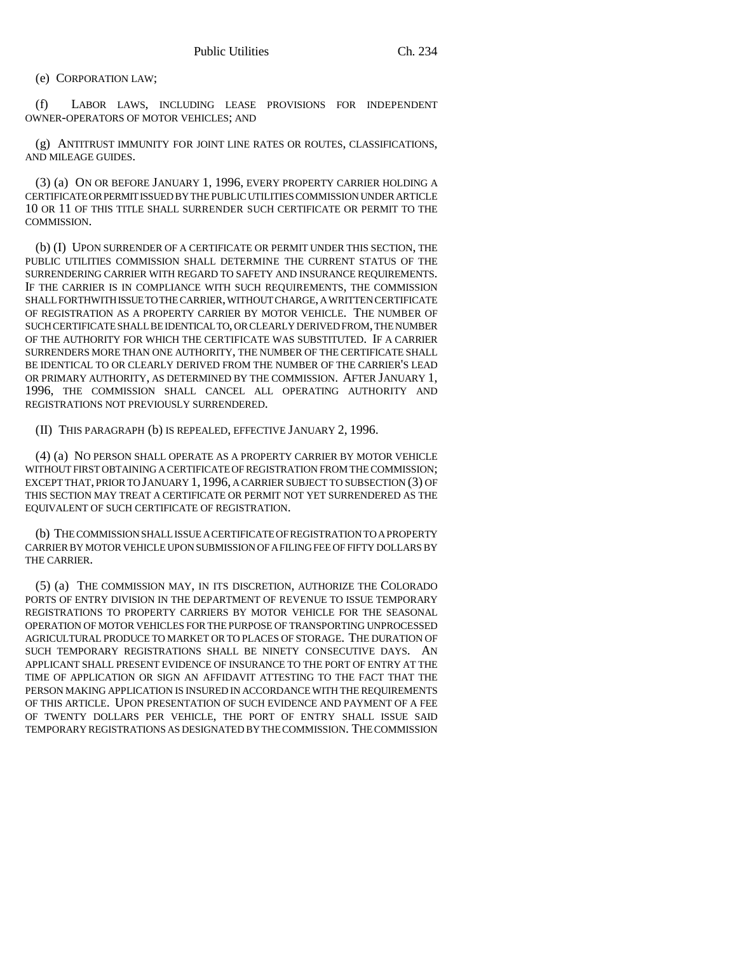(e) CORPORATION LAW;

(f) LABOR LAWS, INCLUDING LEASE PROVISIONS FOR INDEPENDENT OWNER-OPERATORS OF MOTOR VEHICLES; AND

(g) ANTITRUST IMMUNITY FOR JOINT LINE RATES OR ROUTES, CLASSIFICATIONS, AND MILEAGE GUIDES.

(3) (a) ON OR BEFORE JANUARY 1, 1996, EVERY PROPERTY CARRIER HOLDING A CERTIFICATE OR PERMIT ISSUED BY THE PUBLIC UTILITIES COMMISSION UNDER ARTICLE 10 OR 11 OF THIS TITLE SHALL SURRENDER SUCH CERTIFICATE OR PERMIT TO THE COMMISSION.

(b) (I) UPON SURRENDER OF A CERTIFICATE OR PERMIT UNDER THIS SECTION, THE PUBLIC UTILITIES COMMISSION SHALL DETERMINE THE CURRENT STATUS OF THE SURRENDERING CARRIER WITH REGARD TO SAFETY AND INSURANCE REQUIREMENTS. IF THE CARRIER IS IN COMPLIANCE WITH SUCH REQUIREMENTS, THE COMMISSION SHALL FORTHWITH ISSUE TO THE CARRIER, WITHOUT CHARGE, A WRITTEN CERTIFICATE OF REGISTRATION AS A PROPERTY CARRIER BY MOTOR VEHICLE. THE NUMBER OF SUCH CERTIFICATE SHALL BE IDENTICAL TO, OR CLEARLY DERIVED FROM, THE NUMBER OF THE AUTHORITY FOR WHICH THE CERTIFICATE WAS SUBSTITUTED. IF A CARRIER SURRENDERS MORE THAN ONE AUTHORITY, THE NUMBER OF THE CERTIFICATE SHALL BE IDENTICAL TO OR CLEARLY DERIVED FROM THE NUMBER OF THE CARRIER'S LEAD OR PRIMARY AUTHORITY, AS DETERMINED BY THE COMMISSION. AFTER JANUARY 1, 1996, THE COMMISSION SHALL CANCEL ALL OPERATING AUTHORITY AND REGISTRATIONS NOT PREVIOUSLY SURRENDERED.

(II) THIS PARAGRAPH (b) IS REPEALED, EFFECTIVE JANUARY 2, 1996.

(4) (a) NO PERSON SHALL OPERATE AS A PROPERTY CARRIER BY MOTOR VEHICLE WITHOUT FIRST OBTAINING A CERTIFICATE OF REGISTRATION FROM THE COMMISSION; EXCEPT THAT, PRIOR TO JANUARY 1, 1996, A CARRIER SUBJECT TO SUBSECTION (3) OF THIS SECTION MAY TREAT A CERTIFICATE OR PERMIT NOT YET SURRENDERED AS THE EQUIVALENT OF SUCH CERTIFICATE OF REGISTRATION.

(b) THE COMMISSION SHALL ISSUE A CERTIFICATE OF REGISTRATION TO A PROPERTY CARRIER BY MOTOR VEHICLE UPON SUBMISSION OF A FILING FEE OF FIFTY DOLLARS BY THE CARRIER.

(5) (a) THE COMMISSION MAY, IN ITS DISCRETION, AUTHORIZE THE COLORADO PORTS OF ENTRY DIVISION IN THE DEPARTMENT OF REVENUE TO ISSUE TEMPORARY REGISTRATIONS TO PROPERTY CARRIERS BY MOTOR VEHICLE FOR THE SEASONAL OPERATION OF MOTOR VEHICLES FOR THE PURPOSE OF TRANSPORTING UNPROCESSED AGRICULTURAL PRODUCE TO MARKET OR TO PLACES OF STORAGE. THE DURATION OF SUCH TEMPORARY REGISTRATIONS SHALL BE NINETY CONSECUTIVE DAYS. AN APPLICANT SHALL PRESENT EVIDENCE OF INSURANCE TO THE PORT OF ENTRY AT THE TIME OF APPLICATION OR SIGN AN AFFIDAVIT ATTESTING TO THE FACT THAT THE PERSON MAKING APPLICATION IS INSURED IN ACCORDANCE WITH THE REQUIREMENTS OF THIS ARTICLE. UPON PRESENTATION OF SUCH EVIDENCE AND PAYMENT OF A FEE OF TWENTY DOLLARS PER VEHICLE, THE PORT OF ENTRY SHALL ISSUE SAID TEMPORARY REGISTRATIONS AS DESIGNATED BY THE COMMISSION. THE COMMISSION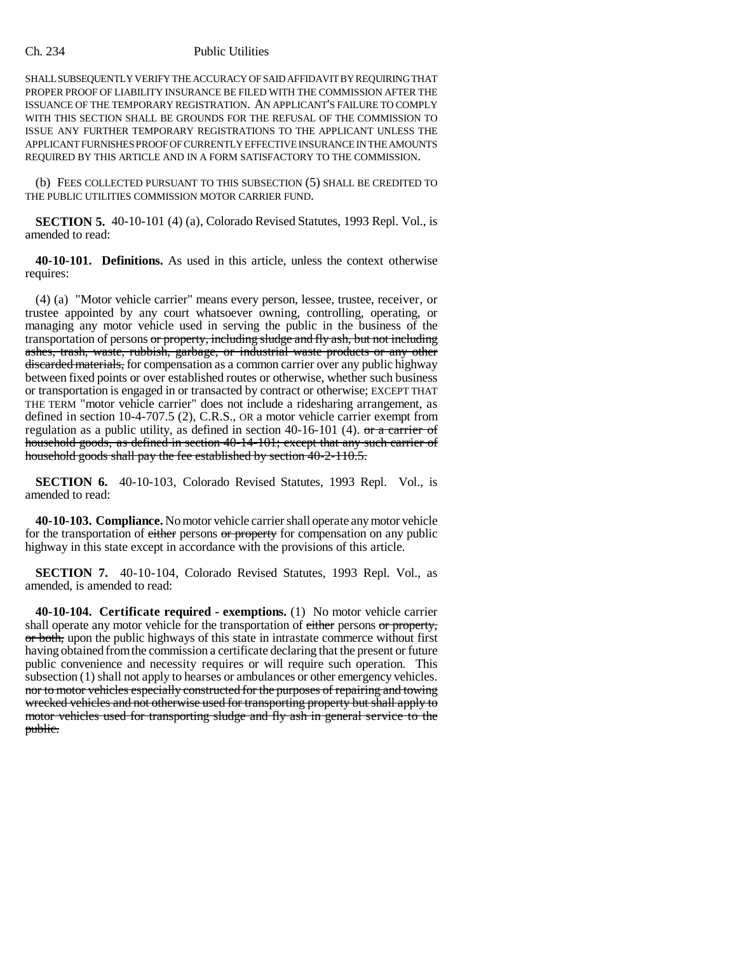### Ch. 234 Public Utilities

SHALL SUBSEQUENTLY VERIFY THE ACCURACY OF SAID AFFIDAVIT BY REQUIRING THAT PROPER PROOF OF LIABILITY INSURANCE BE FILED WITH THE COMMISSION AFTER THE ISSUANCE OF THE TEMPORARY REGISTRATION. AN APPLICANT'S FAILURE TO COMPLY WITH THIS SECTION SHALL BE GROUNDS FOR THE REFUSAL OF THE COMMISSION TO ISSUE ANY FURTHER TEMPORARY REGISTRATIONS TO THE APPLICANT UNLESS THE APPLICANT FURNISHES PROOF OF CURRENTLY EFFECTIVE INSURANCE IN THE AMOUNTS REQUIRED BY THIS ARTICLE AND IN A FORM SATISFACTORY TO THE COMMISSION.

(b) FEES COLLECTED PURSUANT TO THIS SUBSECTION (5) SHALL BE CREDITED TO THE PUBLIC UTILITIES COMMISSION MOTOR CARRIER FUND.

**SECTION 5.** 40-10-101 (4) (a), Colorado Revised Statutes, 1993 Repl. Vol., is amended to read:

**40-10-101. Definitions.** As used in this article, unless the context otherwise requires:

(4) (a) "Motor vehicle carrier" means every person, lessee, trustee, receiver, or trustee appointed by any court whatsoever owning, controlling, operating, or managing any motor vehicle used in serving the public in the business of the transportation of persons or property, including sludge and fly ash, but not including ashes, trash, waste, rubbish, garbage, or industrial waste products or any other discarded materials, for compensation as a common carrier over any public highway between fixed points or over established routes or otherwise, whether such business or transportation is engaged in or transacted by contract or otherwise; EXCEPT THAT THE TERM "motor vehicle carrier" does not include a ridesharing arrangement, as defined in section 10-4-707.5 (2), C.R.S., OR a motor vehicle carrier exempt from regulation as a public utility, as defined in section 40-16-101 (4).  $\sigma$ r a carrier of household goods, as defined in section 40-14-101; except that any such carrier of household goods shall pay the fee established by section 40-2-110.5.

**SECTION 6.** 40-10-103, Colorado Revised Statutes, 1993 Repl. Vol., is amended to read:

**40-10-103. Compliance.** No motor vehicle carrier shall operate any motor vehicle for the transportation of either persons or property for compensation on any public highway in this state except in accordance with the provisions of this article.

**SECTION 7.** 40-10-104, Colorado Revised Statutes, 1993 Repl. Vol., as amended, is amended to read:

**40-10-104. Certificate required - exemptions.** (1) No motor vehicle carrier shall operate any motor vehicle for the transportation of either persons or property, or both, upon the public highways of this state in intrastate commerce without first having obtained from the commission a certificate declaring that the present or future public convenience and necessity requires or will require such operation. This subsection (1) shall not apply to hearses or ambulances or other emergency vehicles. nor to motor vehicles especially constructed for the purposes of repairing and towing wrecked vehicles and not otherwise used for transporting property but shall apply to motor vehicles used for transporting sludge and fly ash in general service to the public.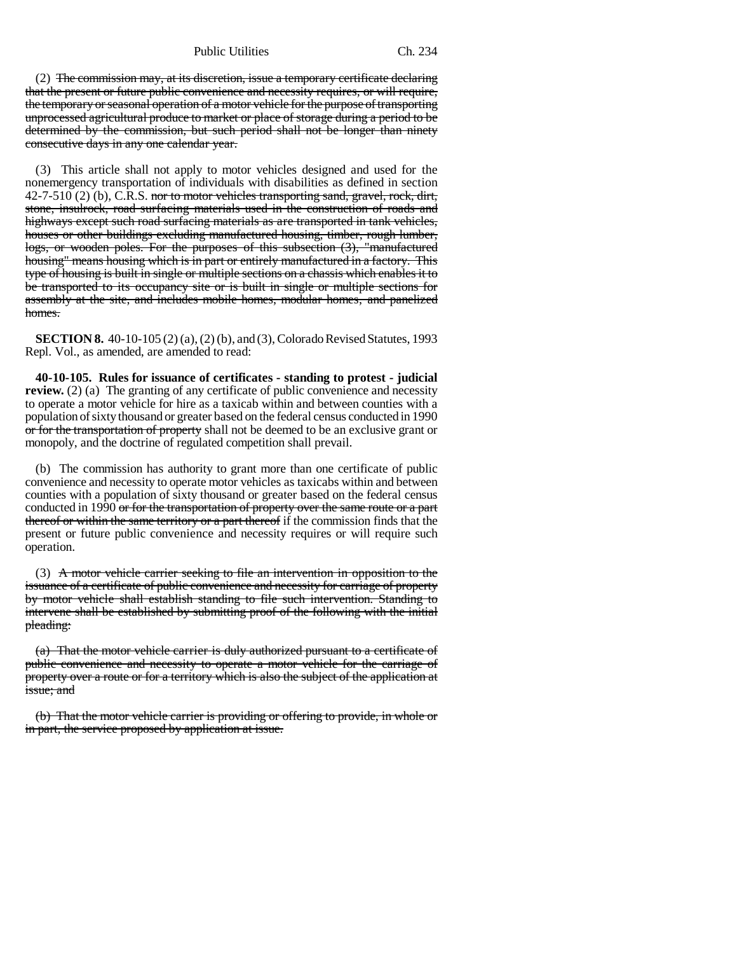Public Utilities Ch. 234

(2) The commission may, at its discretion, issue a temporary certificate declaring that the present or future public convenience and necessity requires, or will require, the temporary or seasonal operation of a motor vehicle for the purpose of transporting unprocessed agricultural produce to market or place of storage during a period to be determined by the commission, but such period shall not be longer than ninety consecutive days in any one calendar year.

(3) This article shall not apply to motor vehicles designed and used for the nonemergency transportation of individuals with disabilities as defined in section  $42-7-510$  (2) (b), C.R.S. nor to motor vehicles transporting sand, gravel, rock, dirt, stone, insulrock, road surfacing materials used in the construction of roads and highways except such road surfacing materials as are transported in tank vehicles, houses or other buildings excluding manufactured housing, timber, rough lumber, logs, or wooden poles. For the purposes of this subsection (3), "manufactured housing" means housing which is in part or entirely manufactured in a factory. This type of housing is built in single or multiple sections on a chassis which enables it to be transported to its occupancy site or is built in single or multiple sections for assembly at the site, and includes mobile homes, modular homes, and panelized homes.

**SECTION 8.** 40-10-105 (2) (a), (2) (b), and (3), Colorado Revised Statutes, 1993 Repl. Vol., as amended, are amended to read:

**40-10-105. Rules for issuance of certificates - standing to protest - judicial review.** (2) (a) The granting of any certificate of public convenience and necessity to operate a motor vehicle for hire as a taxicab within and between counties with a population of sixty thousand or greater based on the federal census conducted in 1990 or for the transportation of property shall not be deemed to be an exclusive grant or monopoly, and the doctrine of regulated competition shall prevail.

(b) The commission has authority to grant more than one certificate of public convenience and necessity to operate motor vehicles as taxicabs within and between counties with a population of sixty thousand or greater based on the federal census conducted in 1990 or for the transportation of property over the same route or a part thereof or within the same territory or a part thereof if the commission finds that the present or future public convenience and necessity requires or will require such operation.

(3) A motor vehicle carrier seeking to file an intervention in opposition to the issuance of a certificate of public convenience and necessity for carriage of property by motor vehicle shall establish standing to file such intervention. Standing to intervene shall be established by submitting proof of the following with the initial pleading:

(a) That the motor vehicle carrier is duly authorized pursuant to a certificate of public convenience and necessity to operate a motor vehicle for the carriage of property over a route or for a territory which is also the subject of the application at issue; and

(b) That the motor vehicle carrier is providing or offering to provide, in whole or in part, the service proposed by application at issue.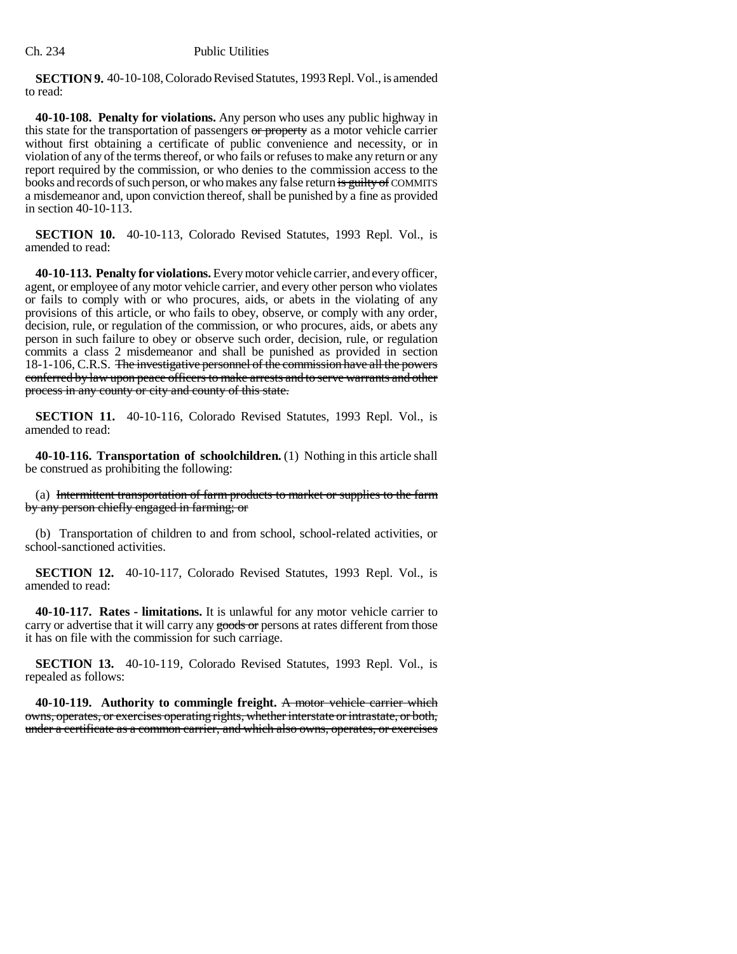**SECTION 9.** 40-10-108, Colorado Revised Statutes, 1993 Repl. Vol., is amended to read:

**40-10-108. Penalty for violations.** Any person who uses any public highway in this state for the transportation of passengers or property as a motor vehicle carrier without first obtaining a certificate of public convenience and necessity, or in violation of any of the terms thereof, or who fails or refuses to make any return or any report required by the commission, or who denies to the commission access to the books and records of such person, or who makes any false return is guilty of COMMITS a misdemeanor and, upon conviction thereof, shall be punished by a fine as provided in section 40-10-113.

**SECTION 10.** 40-10-113, Colorado Revised Statutes, 1993 Repl. Vol., is amended to read:

**40-10-113. Penalty for violations.** Every motor vehicle carrier, and every officer, agent, or employee of any motor vehicle carrier, and every other person who violates or fails to comply with or who procures, aids, or abets in the violating of any provisions of this article, or who fails to obey, observe, or comply with any order, decision, rule, or regulation of the commission, or who procures, aids, or abets any person in such failure to obey or observe such order, decision, rule, or regulation commits a class 2 misdemeanor and shall be punished as provided in section 18-1-106, C.R.S. The investigative personnel of the commission have all the powers conferred by law upon peace officers to make arrests and to serve warrants and other process in any county or city and county of this state.

**SECTION 11.** 40-10-116, Colorado Revised Statutes, 1993 Repl. Vol., is amended to read:

**40-10-116. Transportation of schoolchildren.** (1) Nothing in this article shall be construed as prohibiting the following:

(a) Intermittent transportation of farm products to market or supplies to the farm by any person chiefly engaged in farming; or

(b) Transportation of children to and from school, school-related activities, or school-sanctioned activities.

**SECTION 12.** 40-10-117, Colorado Revised Statutes, 1993 Repl. Vol., is amended to read:

**40-10-117. Rates - limitations.** It is unlawful for any motor vehicle carrier to carry or advertise that it will carry any goods or persons at rates different from those it has on file with the commission for such carriage.

**SECTION 13.** 40-10-119, Colorado Revised Statutes, 1993 Repl. Vol., is repealed as follows:

**40-10-119. Authority to commingle freight.** A motor vehicle carrier which owns, operates, or exercises operating rights, whether interstate or intrastate, or both, under a certificate as a common carrier, and which also owns, operates, or exercises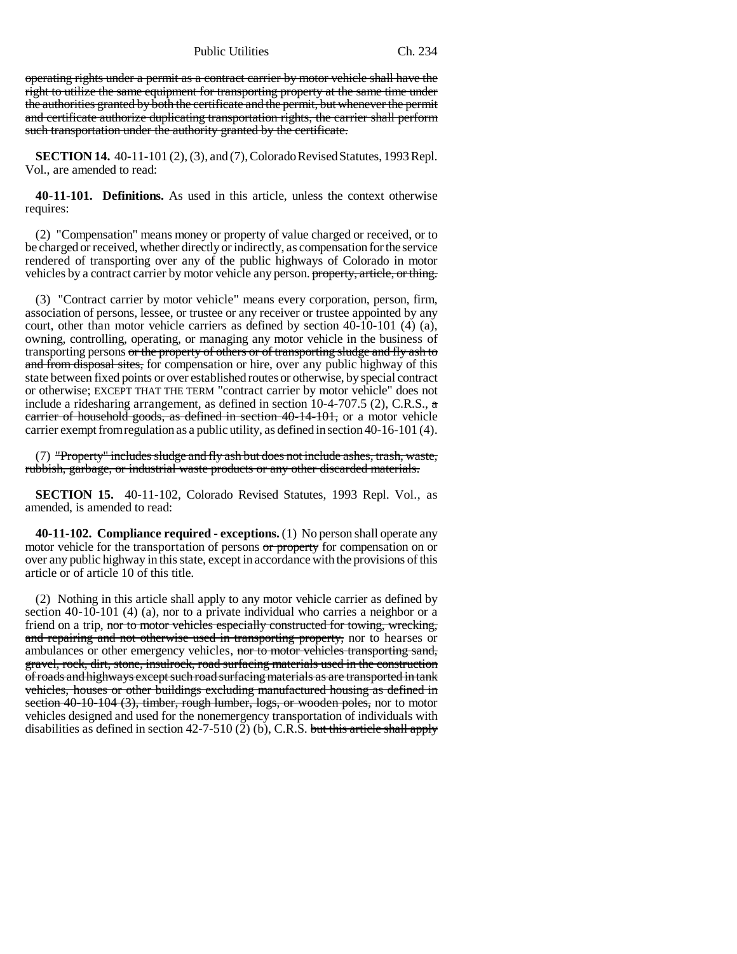Public Utilities Ch. 234

operating rights under a permit as a contract carrier by motor vehicle shall have the right to utilize the same equipment for transporting property at the same time under the authorities granted by both the certificate and the permit, but whenever the permit and certificate authorize duplicating transportation rights, the carrier shall perform such transportation under the authority granted by the certificate.

**SECTION 14.** 40-11-101 (2), (3), and (7), Colorado Revised Statutes, 1993 Repl. Vol., are amended to read:

**40-11-101. Definitions.** As used in this article, unless the context otherwise requires:

(2) "Compensation" means money or property of value charged or received, or to be charged or received, whether directly or indirectly, as compensation for the service rendered of transporting over any of the public highways of Colorado in motor vehicles by a contract carrier by motor vehicle any person. property, article, or thing.

(3) "Contract carrier by motor vehicle" means every corporation, person, firm, association of persons, lessee, or trustee or any receiver or trustee appointed by any court, other than motor vehicle carriers as defined by section 40-10-101 (4) (a), owning, controlling, operating, or managing any motor vehicle in the business of transporting persons or the property of others or of transporting sludge and fly ash to and from disposal sites, for compensation or hire, over any public highway of this state between fixed points or over established routes or otherwise, by special contract or otherwise; EXCEPT THAT THE TERM "contract carrier by motor vehicle" does not include a ridesharing arrangement, as defined in section 10-4-707.5 (2), C.R.S., a carrier of household goods, as defined in section 40-14-101, or a motor vehicle carrier exempt from regulation as a public utility, as defined in section 40-16-101 (4).

(7) "Property" includes sludge and fly ash but does not include ashes, trash, waste, rubbish, garbage, or industrial waste products or any other discarded materials.

**SECTION 15.** 40-11-102, Colorado Revised Statutes, 1993 Repl. Vol., as amended, is amended to read:

**40-11-102. Compliance required - exceptions.** (1) No person shall operate any motor vehicle for the transportation of persons or property for compensation on or over any public highway in this state, except in accordance with the provisions of this article or of article 10 of this title.

(2) Nothing in this article shall apply to any motor vehicle carrier as defined by section 40-10-101 (4) (a), nor to a private individual who carries a neighbor or a friend on a trip, nor to motor vehicles especially constructed for towing, wrecking, and repairing and not otherwise used in transporting property, nor to hearses or ambulances or other emergency vehicles, nor to motor vehicles transporting sand, gravel, rock, dirt, stone, insulrock, road surfacing materials used in the construction of roads and highways except such road surfacing materials as are transported in tank vehicles, houses or other buildings excluding manufactured housing as defined in section 40-10-104 (3), timber, rough lumber, logs, or wooden poles, nor to motor vehicles designed and used for the nonemergency transportation of individuals with disabilities as defined in section  $42-7-510(2)$  (b), C.R.S. but this article shall apply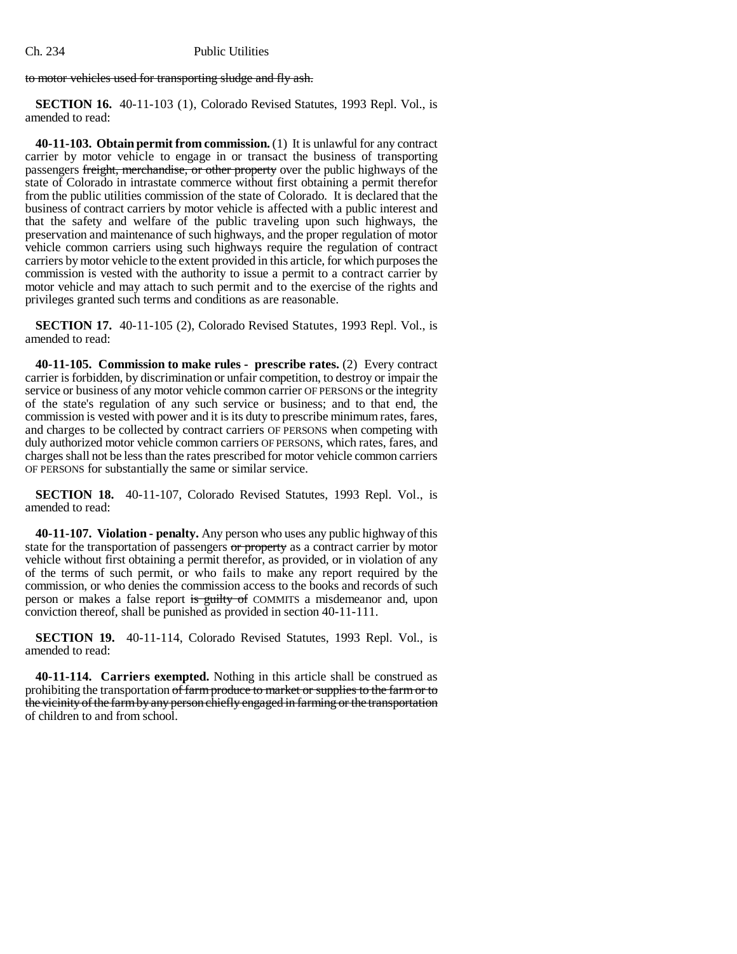### Ch. 234 Public Utilities

to motor vehicles used for transporting sludge and fly ash.

**SECTION 16.** 40-11-103 (1), Colorado Revised Statutes, 1993 Repl. Vol., is amended to read:

**40-11-103. Obtain permit from commission.** (1) It is unlawful for any contract carrier by motor vehicle to engage in or transact the business of transporting passengers freight, merchandise, or other property over the public highways of the state of Colorado in intrastate commerce without first obtaining a permit therefor from the public utilities commission of the state of Colorado. It is declared that the business of contract carriers by motor vehicle is affected with a public interest and that the safety and welfare of the public traveling upon such highways, the preservation and maintenance of such highways, and the proper regulation of motor vehicle common carriers using such highways require the regulation of contract carriers by motor vehicle to the extent provided in this article, for which purposes the commission is vested with the authority to issue a permit to a contract carrier by motor vehicle and may attach to such permit and to the exercise of the rights and privileges granted such terms and conditions as are reasonable.

**SECTION 17.** 40-11-105 (2), Colorado Revised Statutes, 1993 Repl. Vol., is amended to read:

**40-11-105. Commission to make rules - prescribe rates.** (2) Every contract carrier is forbidden, by discrimination or unfair competition, to destroy or impair the service or business of any motor vehicle common carrier OF PERSONS or the integrity of the state's regulation of any such service or business; and to that end, the commission is vested with power and it is its duty to prescribe minimum rates, fares, and charges to be collected by contract carriers OF PERSONS when competing with duly authorized motor vehicle common carriers OF PERSONS, which rates, fares, and charges shall not be less than the rates prescribed for motor vehicle common carriers OF PERSONS for substantially the same or similar service.

**SECTION 18.** 40-11-107, Colorado Revised Statutes, 1993 Repl. Vol., is amended to read:

**40-11-107. Violation - penalty.** Any person who uses any public highway of this state for the transportation of passengers or property as a contract carrier by motor vehicle without first obtaining a permit therefor, as provided, or in violation of any of the terms of such permit, or who fails to make any report required by the commission, or who denies the commission access to the books and records of such person or makes a false report is guilty of COMMITS a misdemeanor and, upon conviction thereof, shall be punished as provided in section 40-11-111.

**SECTION 19.** 40-11-114, Colorado Revised Statutes, 1993 Repl. Vol., is amended to read:

**40-11-114. Carriers exempted.** Nothing in this article shall be construed as prohibiting the transportation of farm produce to market or supplies to the farm or to the vicinity of the farm by any person chiefly engaged in farming or the transportation of children to and from school.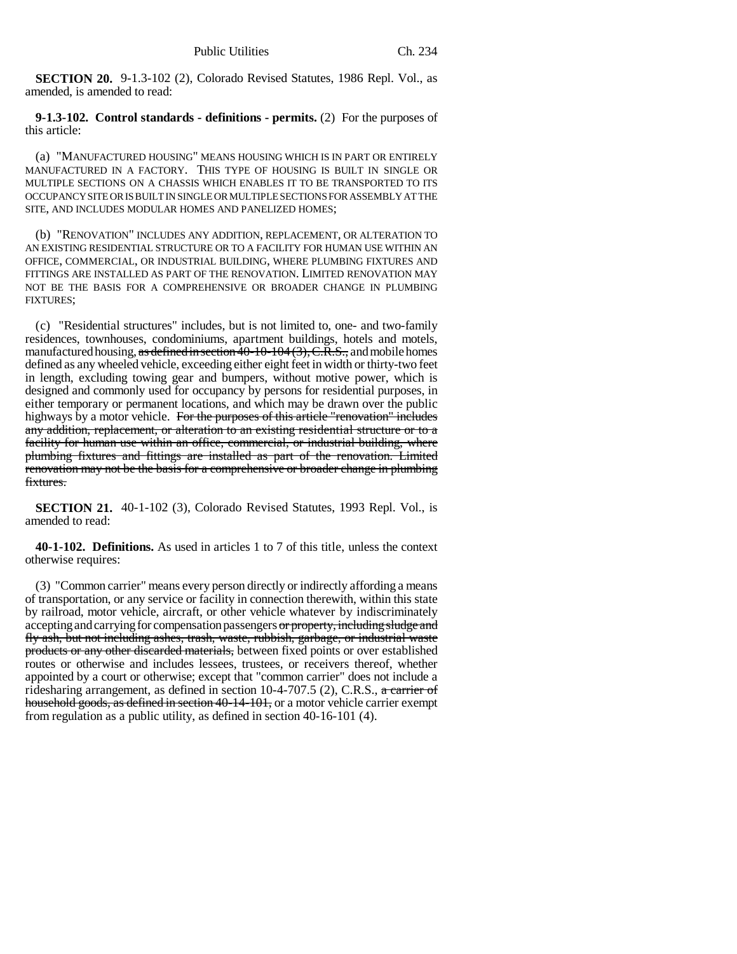**SECTION 20.** 9-1.3-102 (2), Colorado Revised Statutes, 1986 Repl. Vol., as amended, is amended to read:

**9-1.3-102. Control standards - definitions - permits.** (2) For the purposes of this article:

(a) "MANUFACTURED HOUSING" MEANS HOUSING WHICH IS IN PART OR ENTIRELY MANUFACTURED IN A FACTORY. THIS TYPE OF HOUSING IS BUILT IN SINGLE OR MULTIPLE SECTIONS ON A CHASSIS WHICH ENABLES IT TO BE TRANSPORTED TO ITS OCCUPANCY SITE OR IS BUILT IN SINGLE OR MULTIPLE SECTIONS FOR ASSEMBLY AT THE SITE, AND INCLUDES MODULAR HOMES AND PANELIZED HOMES;

(b) "RENOVATION" INCLUDES ANY ADDITION, REPLACEMENT, OR ALTERATION TO AN EXISTING RESIDENTIAL STRUCTURE OR TO A FACILITY FOR HUMAN USE WITHIN AN OFFICE, COMMERCIAL, OR INDUSTRIAL BUILDING, WHERE PLUMBING FIXTURES AND FITTINGS ARE INSTALLED AS PART OF THE RENOVATION. LIMITED RENOVATION MAY NOT BE THE BASIS FOR A COMPREHENSIVE OR BROADER CHANGE IN PLUMBING FIXTURES;

(c) "Residential structures" includes, but is not limited to, one- and two-family residences, townhouses, condominiums, apartment buildings, hotels and motels, manufactured housing, as defined in section  $\overline{40-10-104}$  (3), C.R.S., and mobile homes defined as any wheeled vehicle, exceeding either eight feet in width or thirty-two feet in length, excluding towing gear and bumpers, without motive power, which is designed and commonly used for occupancy by persons for residential purposes, in either temporary or permanent locations, and which may be drawn over the public highways by a motor vehicle. For the purposes of this article "renovation" includes any addition, replacement, or alteration to an existing residential structure or to a facility for human use within an office, commercial, or industrial building, where plumbing fixtures and fittings are installed as part of the renovation. Limited renovation may not be the basis for a comprehensive or broader change in plumbing fixtures.

**SECTION 21.** 40-1-102 (3), Colorado Revised Statutes, 1993 Repl. Vol., is amended to read:

**40-1-102. Definitions.** As used in articles 1 to 7 of this title, unless the context otherwise requires:

(3) "Common carrier" means every person directly or indirectly affording a means of transportation, or any service or facility in connection therewith, within this state by railroad, motor vehicle, aircraft, or other vehicle whatever by indiscriminately accepting and carrying for compensation passengers or property, including sludge and fly ash, but not including ashes, trash, waste, rubbish, garbage, or industrial waste products or any other discarded materials, between fixed points or over established routes or otherwise and includes lessees, trustees, or receivers thereof, whether appointed by a court or otherwise; except that "common carrier" does not include a ridesharing arrangement, as defined in section  $10-4-707.5$  (2), C.R.S., a carrier of household goods, as defined in section 40-14-101, or a motor vehicle carrier exempt from regulation as a public utility, as defined in section 40-16-101 (4).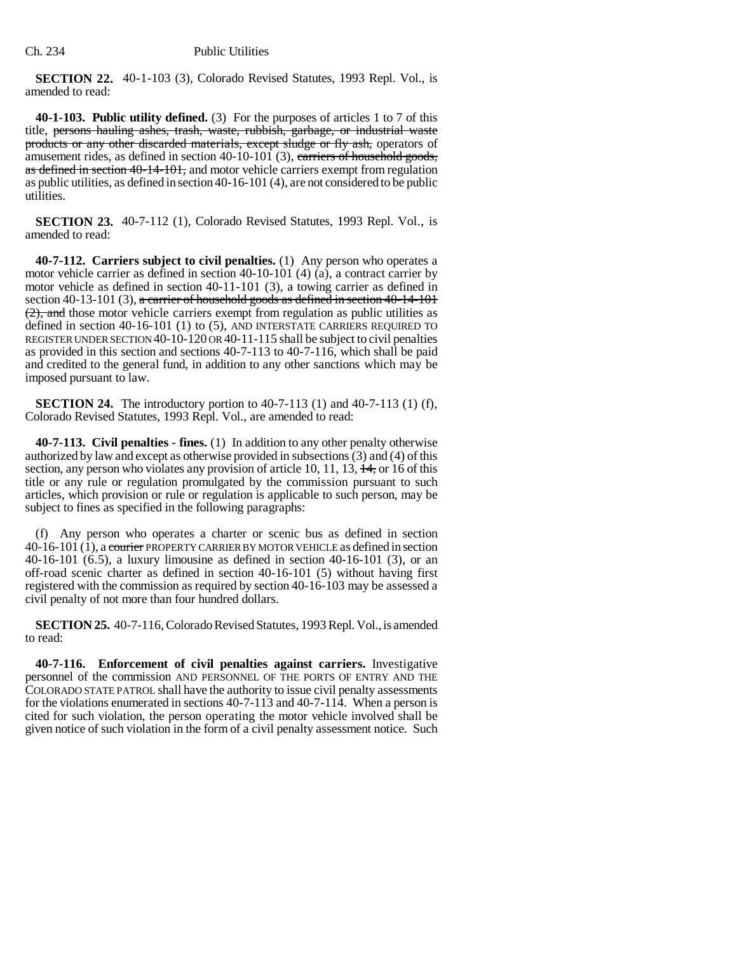**SECTION 22.** 40-1-103 (3), Colorado Revised Statutes, 1993 Repl. Vol., is amended to read:

**40-1-103. Public utility defined.** (3) For the purposes of articles 1 to 7 of this title, persons hauling ashes, trash, waste, rubbish, garbage, or industrial waste products or any other discarded materials, except sludge or fly ash, operators of amusement rides, as defined in section 40-10-101 (3), carriers of household goods, as defined in section 40-14-101, and motor vehicle carriers exempt from regulation as public utilities, as defined in section 40-16-101 (4), are not considered to be public utilities.

**SECTION 23.** 40-7-112 (1), Colorado Revised Statutes, 1993 Repl. Vol., is amended to read:

**40-7-112. Carriers subject to civil penalties.** (1) Any person who operates a motor vehicle carrier as defined in section 40-10-101 (4) (a), a contract carrier by motor vehicle as defined in section 40-11-101 (3), a towing carrier as defined in section 40-13-101 (3), a carrier of household goods as defined in section 40-14-101 (2), and those motor vehicle carriers exempt from regulation as public utilities as defined in section 40-16-101 (1) to (5), AND INTERSTATE CARRIERS REQUIRED TO REGISTER UNDER SECTION 40-10-120 OR 40-11-115 shall be subject to civil penalties as provided in this section and sections 40-7-113 to 40-7-116, which shall be paid and credited to the general fund, in addition to any other sanctions which may be imposed pursuant to law.

**SECTION 24.** The introductory portion to 40-7-113 (1) and 40-7-113 (1) (f), Colorado Revised Statutes, 1993 Repl. Vol., are amended to read:

**40-7-113. Civil penalties - fines.** (1) In addition to any other penalty otherwise authorized by law and except as otherwise provided in subsections (3) and (4) of this section, any person who violates any provision of article 10, 11, 13,  $\frac{14}{15}$ , or 16 of this title or any rule or regulation promulgated by the commission pursuant to such articles, which provision or rule or regulation is applicable to such person, may be subject to fines as specified in the following paragraphs:

(f) Any person who operates a charter or scenic bus as defined in section 40-16-101 (1), a courier PROPERTY CARRIER BY MOTOR VEHICLE as defined in section 40-16-101 (6.5), a luxury limousine as defined in section 40-16-101 (3), or an off-road scenic charter as defined in section 40-16-101 (5) without having first registered with the commission as required by section 40-16-103 may be assessed a civil penalty of not more than four hundred dollars.

**SECTION 25.** 40-7-116, Colorado Revised Statutes, 1993 Repl. Vol., is amended to read:

**40-7-116. Enforcement of civil penalties against carriers.** Investigative personnel of the commission AND PERSONNEL OF THE PORTS OF ENTRY AND THE COLORADO STATE PATROL shall have the authority to issue civil penalty assessments for the violations enumerated in sections 40-7-113 and 40-7-114. When a person is cited for such violation, the person operating the motor vehicle involved shall be given notice of such violation in the form of a civil penalty assessment notice. Such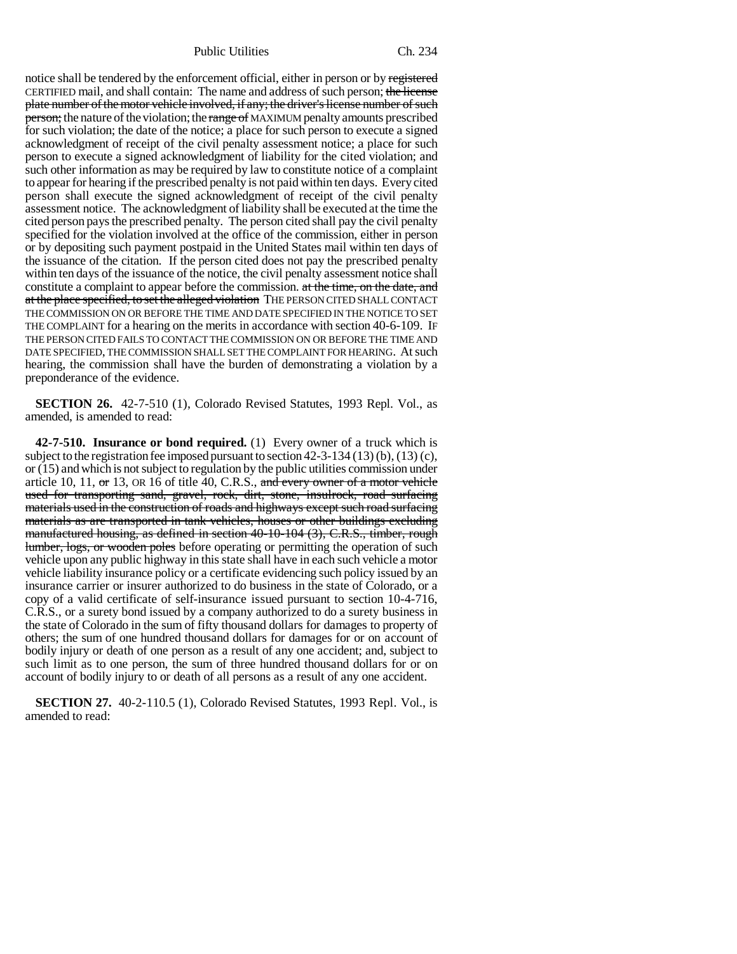Public Utilities Ch. 234

notice shall be tendered by the enforcement official, either in person or by registered CERTIFIED mail, and shall contain: The name and address of such person; the license plate number of the motor vehicle involved, if any; the driver's license number of such person; the nature of the violation; the range of MAXIMUM penalty amounts prescribed for such violation; the date of the notice; a place for such person to execute a signed acknowledgment of receipt of the civil penalty assessment notice; a place for such person to execute a signed acknowledgment of liability for the cited violation; and such other information as may be required by law to constitute notice of a complaint to appear for hearing if the prescribed penalty is not paid within ten days. Every cited person shall execute the signed acknowledgment of receipt of the civil penalty assessment notice. The acknowledgment of liability shall be executed at the time the cited person pays the prescribed penalty. The person cited shall pay the civil penalty specified for the violation involved at the office of the commission, either in person or by depositing such payment postpaid in the United States mail within ten days of the issuance of the citation. If the person cited does not pay the prescribed penalty within ten days of the issuance of the notice, the civil penalty assessment notice shall constitute a complaint to appear before the commission. at the time, on the date, and at the place specified, to set the alleged violation THE PERSON CITED SHALL CONTACT THE COMMISSION ON OR BEFORE THE TIME AND DATE SPECIFIED IN THE NOTICE TO SET THE COMPLAINT for a hearing on the merits in accordance with section 40-6-109. IF THE PERSON CITED FAILS TO CONTACT THE COMMISSION ON OR BEFORE THE TIME AND DATE SPECIFIED, THE COMMISSION SHALL SET THE COMPLAINT FOR HEARING. At such hearing, the commission shall have the burden of demonstrating a violation by a preponderance of the evidence.

**SECTION 26.** 42-7-510 (1), Colorado Revised Statutes, 1993 Repl. Vol., as amended, is amended to read:

**42-7-510. Insurance or bond required.** (1) Every owner of a truck which is subject to the registration fee imposed pursuant to section 42-3-134 (13) (b), (13) (c), or (15) and which is not subject to regulation by the public utilities commission under article 10, 11,  $\sigma$  13, OR 16 of title 40, C.R.S., and every owner of a motor vehicle used for transporting sand, gravel, rock, dirt, stone, insulrock, road surfacing materials used in the construction of roads and highways except such road surfacing materials as are transported in tank vehicles, houses or other buildings excluding manufactured housing, as defined in section 40-10-104 (3), C.R.S., timber, rough lumber, logs, or wooden poles before operating or permitting the operation of such vehicle upon any public highway in this state shall have in each such vehicle a motor vehicle liability insurance policy or a certificate evidencing such policy issued by an insurance carrier or insurer authorized to do business in the state of Colorado, or a copy of a valid certificate of self-insurance issued pursuant to section 10-4-716, C.R.S., or a surety bond issued by a company authorized to do a surety business in the state of Colorado in the sum of fifty thousand dollars for damages to property of others; the sum of one hundred thousand dollars for damages for or on account of bodily injury or death of one person as a result of any one accident; and, subject to such limit as to one person, the sum of three hundred thousand dollars for or on account of bodily injury to or death of all persons as a result of any one accident.

**SECTION 27.** 40-2-110.5 (1), Colorado Revised Statutes, 1993 Repl. Vol., is amended to read: